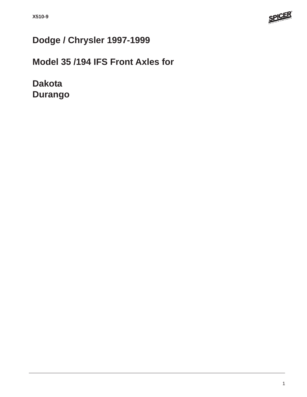

# **Dodge / Chrysler 1997-1999**

# **Model 35 /194 IFS Front Axles for**

**Dakota Durango**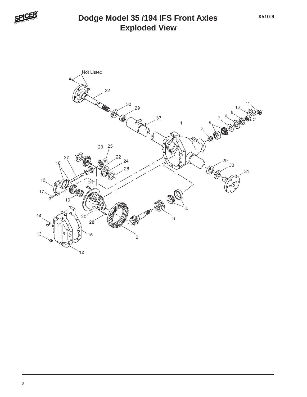

## **Exploded View Dodge Model 35 /194 IFS Front Axles**